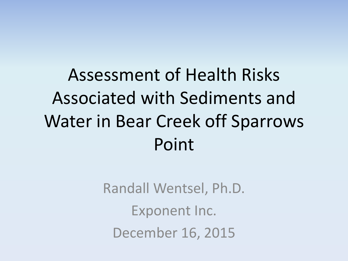Assessment of Health Risks Associated with Sediments and Water in Bear Creek off Sparrows Point

> Randall Wentsel, Ph.D. Exponent Inc. December 16, 2015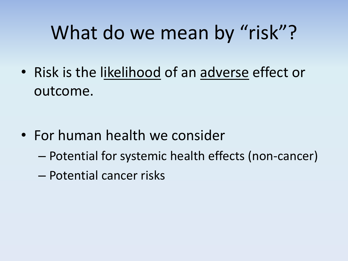#### What do we mean by "risk"?

• Risk is the likelihood of an adverse effect or outcome.

- For human health we consider
	- Potential for systemic health effects (non-cancer)
	- Potential cancer risks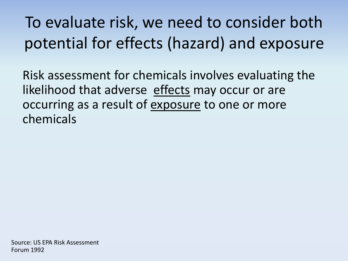To evaluate risk, we need to consider both potential for effects (hazard) and exposure

Risk assessment for chemicals involves evaluating the likelihood that adverse effects may occur or are occurring as a result of exposure to one or more chemicals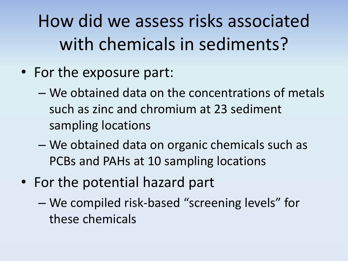How did we assess risks associated with chemicals in sediments?

- For the exposure part:
	- We obtained data on the concentrations of metals such as zinc and chromium at 23 sediment sampling locations
	- We obtained data on organic chemicals such as PCBs and PAHs at 10 sampling locations
- For the potential hazard part
	- We compiled risk-based "screening levels" for these chemicals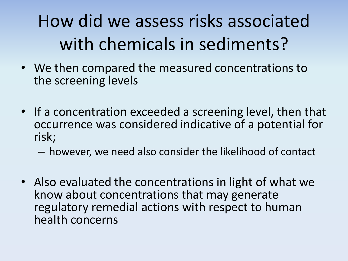#### How did we assess risks associated with chemicals in sediments?

- We then compared the measured concentrations to the screening levels
- If a concentration exceeded a screening level, then that occurrence was considered indicative of a potential for risk;

– however, we need also consider the likelihood of contact

• Also evaluated the concentrations in light of what we know about concentrations that may generate regulatory remedial actions with respect to human health concerns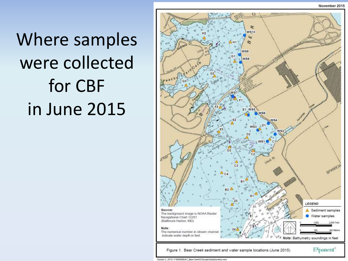Where samples were collected for CBF in June 2015



October 2, 2015) P/08/8806447\_BearCreektGIS/projects/bathymetry.mxd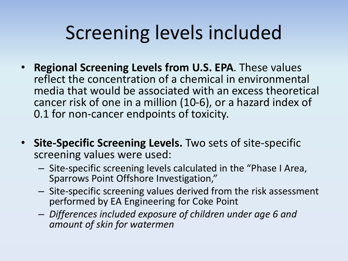## Screening levels included

- **Regional Screening Levels from U.S. EPA**. These values reflect the concentration of a chemical in environmental media that would be associated with an excess theoretical cancer risk of one in a million (10-6), or a hazard index of 0.1 for non-cancer endpoints of toxicity.
- **Site-Specific Screening Levels.** Two sets of site-specific screening values were used:
	- Site-specific screening levels calculated in the "Phase I Area, Sparrows Point Offshore Investigation,"
	- Site-specific screening values derived from the risk assessment performed by EA Engineering for Coke Point
	- *Differences included exposure of children under age 6 and amount of skin for watermen*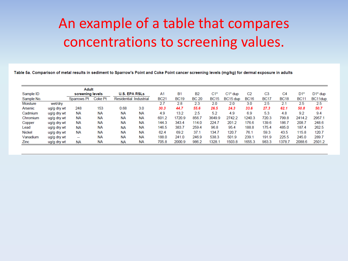#### An example of a table that compares concentrations to screening values.

Table 5a. Comparison of metal results in sediment to Sparrow's Point and Coke Point cancer screening levels (mg/kg) for dermal exposure in adults

| <b>Adult</b>  |                  |             |                      |             |            |             |             |              |             |                |                |             |             |             |         |
|---------------|------------------|-------------|----------------------|-------------|------------|-------------|-------------|--------------|-------------|----------------|----------------|-------------|-------------|-------------|---------|
| Sample ID     | screening levels |             | <b>U.S. EPA RSLs</b> |             | A1         | B1          | <b>B2</b>   | C1*          | $C1*$ dup   | C <sub>2</sub> | C <sub>3</sub> | C4          | $D1*$       | $D1^*$ dup  |         |
| Sample No.    |                  | Sparrows Pt | <b>Coke Pt</b>       | Residential | Industrial | <b>BC21</b> | <b>BC19</b> | <b>BC 20</b> | <b>BC15</b> | BC15 dup       | <b>BC16</b>    | <b>BC17</b> | <b>BC18</b> | <b>BC11</b> | BC11dup |
| Moisture      | wet/dry          |             |                      |             |            | 2.7         | 2.8         | 2.3          | 2.0         | 2.0            | 3.0            | 2.5         | 2.1         | 2.5         | 2.5     |
| Arsenic       | ug/g dry wt      | 248         | 153                  | 0.68        | 3.0        | 30.3        | 44.7        | 55.6         | 26.5        | 24.3           | 33.6           | 27.3        | 62.1        | 50.8        | 50.7    |
| Cadmium       | ug/g dry wt      | NА          | NA                   | <b>NA</b>   | <b>NA</b>  | 4.9         | 13.2        | 2.5          | 5.2         | 4.9            | 6.9            | 5.3         | 4.8         | 9.2         | 9.4     |
| Chromium      | ug/g dry wt      | NА          | NА                   | <b>NA</b>   | <b>NA</b>  | 601.2       | 1720.9      | 856.7        | 3649.9      | 2742.2         | 240.3          | 720.3       | 799.8       | 2414.2      | 2957.1  |
| Copper        | ug/g dry wt      | NΑ          | NА                   | <b>NA</b>   | <b>NA</b>  | 144.3       | 343.4       | 114.0        | 224.7       | 201.2          | 176.6          | 139.6       | 186.7       | 208.7       | 248.6   |
| Lead          | ug/g dry wt      | NА          | NА                   | <b>NA</b>   | <b>NA</b>  | 146.5       | 383.7       | 259.4        | 96.8        | 95.4           | 188.8          | 175.4       | 485.0       | 187.4       | 262.5   |
| <b>Nickel</b> | ug/g dry wt      | NА          | <b>NA</b>            | <b>NA</b>   | <b>NA</b>  | 62.4        | 69.2        | 37.1         | 134.7       | 120.7          | 76.1           | 59.3        | 43.5        | 115.8       | 120.7   |
| Vanadium      | ug/g dry wt      | $- -$       | <b>NA</b>            | <b>NA</b>   | <b>NA</b>  | 188.0       | 241.0       | 246.9        | 538.3       | 501.9          | 239.1          | 191.9       | 225.5       | 245.0       | 289.7   |
| Zinc          | ug/g dry wt      | <b>NA</b>   | <b>NA</b>            | <b>NA</b>   | <b>NA</b>  | 705.8       | 2000.9      | 986.2        | 1328.1      | 1503.8         | 1655.3         | 983.3       | 1378.7      | 2088.6      | 2501.2  |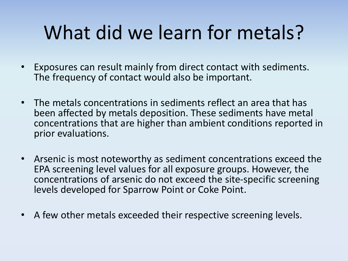# What did we learn for metals?

- Exposures can result mainly from direct contact with sediments. The frequency of contact would also be important.
- The metals concentrations in sediments reflect an area that has been affected by metals deposition. These sediments have metal concentrations that are higher than ambient conditions reported in prior evaluations.
- Arsenic is most noteworthy as sediment concentrations exceed the EPA screening level values for all exposure groups. However, the concentrations of arsenic do not exceed the site-specific screening levels developed for Sparrow Point or Coke Point.
- A few other metals exceeded their respective screening levels.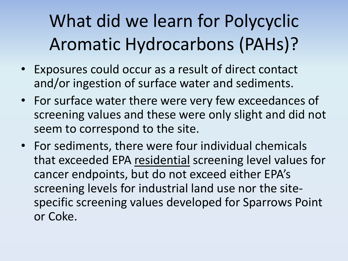## What did we learn for Polycyclic Aromatic Hydrocarbons (PAHs)?

- Exposures could occur as a result of direct contact and/or ingestion of surface water and sediments.
- For surface water there were very few exceedances of screening values and these were only slight and did not seem to correspond to the site.
- For sediments, there were four individual chemicals that exceeded EPA residential screening level values for cancer endpoints, but do not exceed either EPA's screening levels for industrial land use nor the sitespecific screening values developed for Sparrows Point or Coke.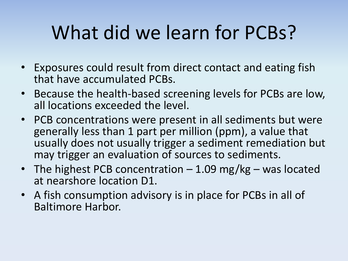# What did we learn for PCBs?

- Exposures could result from direct contact and eating fish that have accumulated PCBs.
- Because the health-based screening levels for PCBs are low, all locations exceeded the level.
- PCB concentrations were present in all sediments but were generally less than 1 part per million (ppm), a value that usually does not usually trigger a sediment remediation but may trigger an evaluation of sources to sediments.
- The highest PCB concentration  $-1.09$  mg/kg was located at nearshore location D1.
- A fish consumption advisory is in place for PCBs in all of Baltimore Harbor.